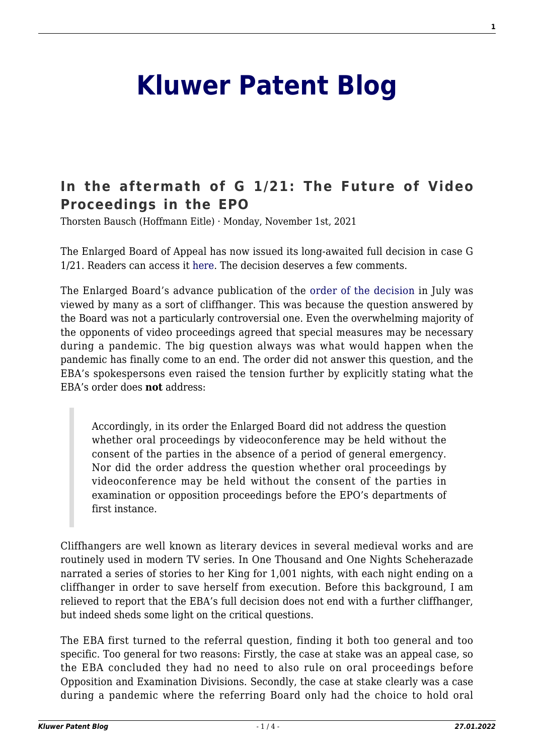## **[Kluwer Patent Blog](http://patentblog.kluweriplaw.com/)**

## **[In the aftermath of G 1/21: The Future of Video](http://patentblog.kluweriplaw.com/2021/11/01/in-the-aftermath-of-g-1-21-the-future-of-video-proceedings-in-the-epo/) [Proceedings in the EPO](http://patentblog.kluweriplaw.com/2021/11/01/in-the-aftermath-of-g-1-21-the-future-of-video-proceedings-in-the-epo/)**

Thorsten Bausch (Hoffmann Eitle) · Monday, November 1st, 2021

The Enlarged Board of Appeal has now issued its long-awaited full decision in case G 1/21. Readers can access it [here.](http://documents.epo.org/projects/babylon/eponet.nsf/0/43D9B1DE7A0D8BE5C125877B004835E9/$File/G_1_21_Decision_of_the_EBoA_of_16_July_2021_EN.pdf) The decision deserves a few comments.

The Enlarged Board's advance publication of th[e order of the decision i](https://www.epo.org/law-practice/case-law-appeals/communications/2021/20210716_de.html)n July was viewed by many as a sort of cliffhanger. This was because the question answered by the Board was not a particularly controversial one. Even the overwhelming majority of the opponents of video proceedings agreed that special measures may be necessary during a pandemic. The big question always was what would happen when the pandemic has finally come to an end. The order did not answer this question, and the EBA's spokespersons even raised the tension further by explicitly stating what the EBA's order does **not** address:

Accordingly, in its order the Enlarged Board did not address the question whether oral proceedings by videoconference may be held without the consent of the parties in the absence of a period of general emergency. Nor did the order address the question whether oral proceedings by videoconference may be held without the consent of the parties in examination or opposition proceedings before the EPO's departments of first instance.

Cliffhangers are well known as literary devices in several medieval works and are routinely used in modern TV series. In One Thousand and One Nights Scheherazade narrated a series of stories to her King for 1,001 nights, with each night ending on a cliffhanger in order to save herself from execution. Before this background, I am relieved to report that the EBA's full decision does not end with a further cliffhanger, but indeed sheds some light on the critical questions.

The EBA first turned to the referral question, finding it both too general and too specific. Too general for two reasons: Firstly, the case at stake was an appeal case, so the EBA concluded they had no need to also rule on oral proceedings before Opposition and Examination Divisions. Secondly, the case at stake clearly was a case during a pandemic where the referring Board only had the choice to hold oral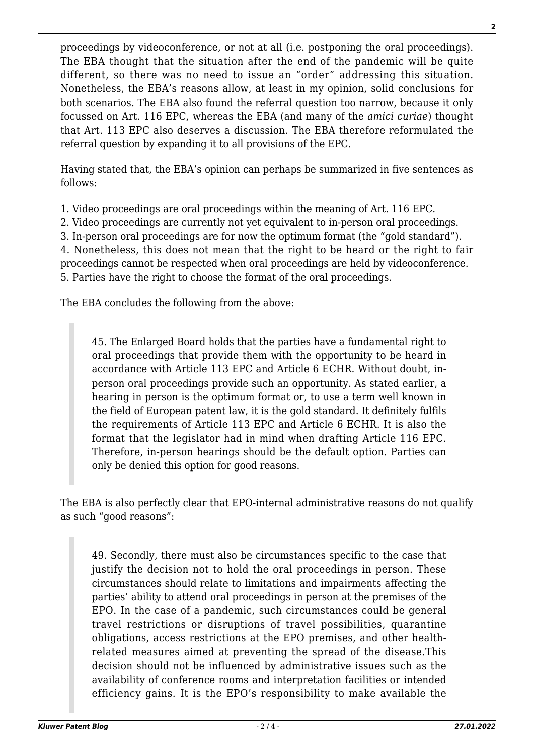proceedings by videoconference, or not at all (i.e. postponing the oral proceedings). The EBA thought that the situation after the end of the pandemic will be quite different, so there was no need to issue an "order" addressing this situation. Nonetheless, the EBA's reasons allow, at least in my opinion, solid conclusions for both scenarios. The EBA also found the referral question too narrow, because it only focussed on Art. 116 EPC, whereas the EBA (and many of the *amici curiae*) thought that Art. 113 EPC also deserves a discussion. The EBA therefore reformulated the referral question by expanding it to all provisions of the EPC.

Having stated that, the EBA's opinion can perhaps be summarized in five sentences as follows:

1. Video proceedings are oral proceedings within the meaning of Art. 116 EPC.

2. Video proceedings are currently not yet equivalent to in-person oral proceedings.

3. In-person oral proceedings are for now the optimum format (the "gold standard").

4. Nonetheless, this does not mean that the right to be heard or the right to fair

proceedings cannot be respected when oral proceedings are held by videoconference.

5. Parties have the right to choose the format of the oral proceedings.

The EBA concludes the following from the above:

45. The Enlarged Board holds that the parties have a fundamental right to oral proceedings that provide them with the opportunity to be heard in accordance with Article 113 EPC and Article 6 ECHR. Without doubt, inperson oral proceedings provide such an opportunity. As stated earlier, a hearing in person is the optimum format or, to use a term well known in the field of European patent law, it is the gold standard. It definitely fulfils the requirements of Article 113 EPC and Article 6 ECHR. It is also the format that the legislator had in mind when drafting Article 116 EPC. Therefore, in-person hearings should be the default option. Parties can only be denied this option for good reasons.

The EBA is also perfectly clear that EPO-internal administrative reasons do not qualify as such "good reasons":

49. Secondly, there must also be circumstances specific to the case that justify the decision not to hold the oral proceedings in person. These circumstances should relate to limitations and impairments affecting the parties' ability to attend oral proceedings in person at the premises of the EPO. In the case of a pandemic, such circumstances could be general travel restrictions or disruptions of travel possibilities, quarantine obligations, access restrictions at the EPO premises, and other healthrelated measures aimed at preventing the spread of the disease.This decision should not be influenced by administrative issues such as the availability of conference rooms and interpretation facilities or intended efficiency gains. It is the EPO's responsibility to make available the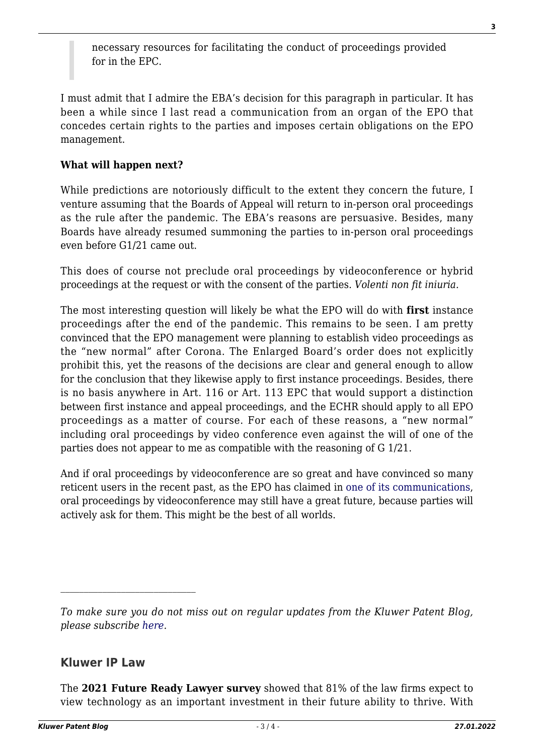necessary resources for facilitating the conduct of proceedings provided for in the EPC.

I must admit that I admire the EBA's decision for this paragraph in particular. It has been a while since I last read a communication from an organ of the EPO that concedes certain rights to the parties and imposes certain obligations on the EPO management.

## **What will happen next?**

While predictions are notoriously difficult to the extent they concern the future, I venture assuming that the Boards of Appeal will return to in-person oral proceedings as the rule after the pandemic. The EBA's reasons are persuasive. Besides, many Boards have already resumed summoning the parties to in-person oral proceedings even before G1/21 came out.

This does of course not preclude oral proceedings by videoconference or hybrid proceedings at the request or with the consent of the parties. *Volenti non fit iniuria.*

The most interesting question will likely be what the EPO will do with **first** instance proceedings after the end of the pandemic. This remains to be seen. I am pretty convinced that the EPO management were planning to establish video proceedings as the "new normal" after Corona. The Enlarged Board's order does not explicitly prohibit this, yet the reasons of the decisions are clear and general enough to allow for the conclusion that they likewise apply to first instance proceedings. Besides, there is no basis anywhere in Art. 116 or Art. 113 EPC that would support a distinction between first instance and appeal proceedings, and the ECHR should apply to all EPO proceedings as a matter of course. For each of these reasons, a "new normal" including oral proceedings by video conference even against the will of one of the parties does not appear to me as compatible with the reasoning of G 1/21.

And if oral proceedings by videoconference are so great and have convinced so many reticent users in the recent past, as the EPO has claimed in [one of its communications](https://documents.epo.org/projects/babylon/eponet.nsf/0/A4E4A1453C49F1CCC125870D0059FF59/$File/opposition_oral_proceedings_by_videoconference_pilot_project_progress_report_jul_2021_en.pdf), oral proceedings by videoconference may still have a great future, because parties will actively ask for them. This might be the best of all worlds.

## **Kluwer IP Law**

The **2021 Future Ready Lawyer survey** showed that 81% of the law firms expect to view technology as an important investment in their future ability to thrive. With

*To make sure you do not miss out on regular updates from the Kluwer Patent Blog, please subscribe [here.](http://patentblog.kluweriplaw.com/newsletter)*